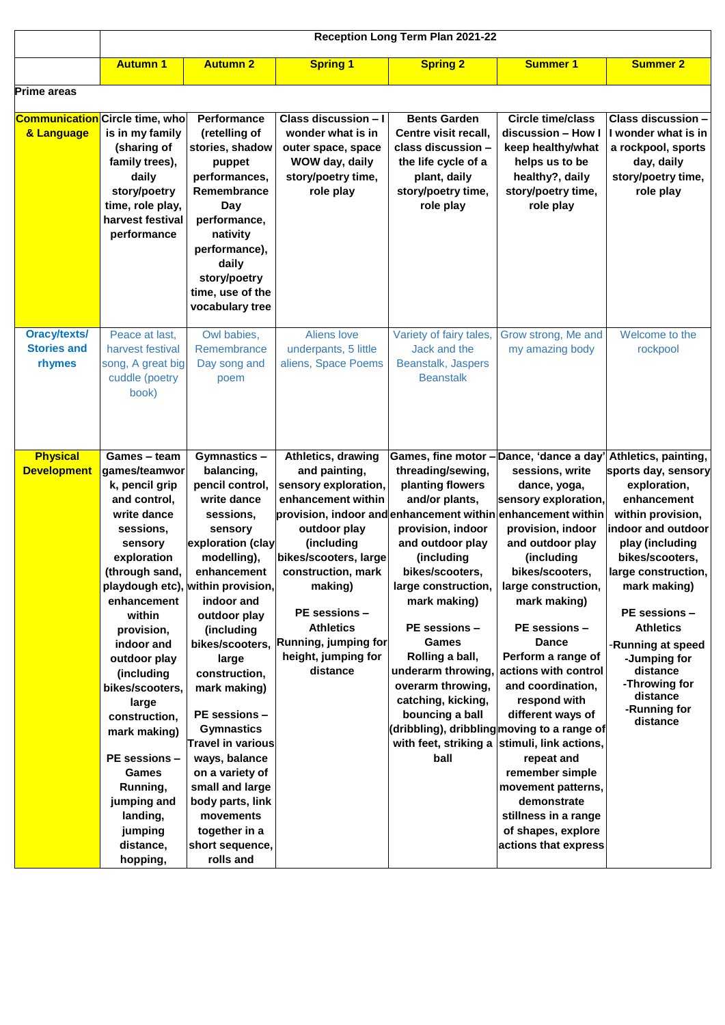|                                                     | Reception Long Term Plan 2021-22                                                                                                                                                                                                                                                                                                                                                                           |                                                                                                                                                                                                                                                                                                                                                                                                                                                                                                        |                                                                                                                                                                                                                                                                                                                                                 |                                                                                                                                                                                                                                                                                                                  |                                                                                                                                                                                                                                                                                                                                                                                                                                                                                                                                                                                                          |                                                                                                                                                                                                                                                                                                                                                   |
|-----------------------------------------------------|------------------------------------------------------------------------------------------------------------------------------------------------------------------------------------------------------------------------------------------------------------------------------------------------------------------------------------------------------------------------------------------------------------|--------------------------------------------------------------------------------------------------------------------------------------------------------------------------------------------------------------------------------------------------------------------------------------------------------------------------------------------------------------------------------------------------------------------------------------------------------------------------------------------------------|-------------------------------------------------------------------------------------------------------------------------------------------------------------------------------------------------------------------------------------------------------------------------------------------------------------------------------------------------|------------------------------------------------------------------------------------------------------------------------------------------------------------------------------------------------------------------------------------------------------------------------------------------------------------------|----------------------------------------------------------------------------------------------------------------------------------------------------------------------------------------------------------------------------------------------------------------------------------------------------------------------------------------------------------------------------------------------------------------------------------------------------------------------------------------------------------------------------------------------------------------------------------------------------------|---------------------------------------------------------------------------------------------------------------------------------------------------------------------------------------------------------------------------------------------------------------------------------------------------------------------------------------------------|
|                                                     | <b>Autumn 1</b>                                                                                                                                                                                                                                                                                                                                                                                            | <b>Autumn 2</b>                                                                                                                                                                                                                                                                                                                                                                                                                                                                                        | <b>Spring 1</b>                                                                                                                                                                                                                                                                                                                                 | <b>Spring 2</b>                                                                                                                                                                                                                                                                                                  | <b>Summer 1</b>                                                                                                                                                                                                                                                                                                                                                                                                                                                                                                                                                                                          | <b>Summer 2</b>                                                                                                                                                                                                                                                                                                                                   |
| <b>Prime areas</b>                                  |                                                                                                                                                                                                                                                                                                                                                                                                            |                                                                                                                                                                                                                                                                                                                                                                                                                                                                                                        |                                                                                                                                                                                                                                                                                                                                                 |                                                                                                                                                                                                                                                                                                                  |                                                                                                                                                                                                                                                                                                                                                                                                                                                                                                                                                                                                          |                                                                                                                                                                                                                                                                                                                                                   |
| <b>Communication</b> Circle time, who<br>& Language | is in my family<br>(sharing of<br>family trees),<br>daily<br>story/poetry<br>time, role play,<br>harvest festival<br>performance                                                                                                                                                                                                                                                                           | Performance<br>(retelling of<br>stories, shadow<br>puppet<br>performances,<br>Remembrance<br>Day<br>performance,<br>nativity<br>performance),<br>daily<br>story/poetry<br>time, use of the<br>vocabulary tree                                                                                                                                                                                                                                                                                          | Class discussion - I<br>wonder what is in<br>outer space, space<br>WOW day, daily<br>story/poetry time,<br>role play                                                                                                                                                                                                                            | <b>Bents Garden</b><br>Centre visit recall,<br>class discussion -<br>the life cycle of a<br>plant, daily<br>story/poetry time,<br>role play                                                                                                                                                                      | Circle time/class<br>discussion - How I<br>keep healthy/what<br>helps us to be<br>healthy?, daily<br>story/poetry time,<br>role play                                                                                                                                                                                                                                                                                                                                                                                                                                                                     | <b>Class discussion -</b><br>I wonder what is in<br>a rockpool, sports<br>day, daily<br>story/poetry time,<br>role play                                                                                                                                                                                                                           |
| <b>Oracy/texts/</b><br><b>Stories and</b><br>rhymes | Peace at last,<br>harvest festival<br>song, A great big<br>cuddle (poetry<br>book)                                                                                                                                                                                                                                                                                                                         | Owl babies,<br>Remembrance<br>Day song and<br>poem                                                                                                                                                                                                                                                                                                                                                                                                                                                     | Aliens love<br>underpants, 5 little<br>aliens, Space Poems                                                                                                                                                                                                                                                                                      | Variety of fairy tales,<br>Jack and the<br>Beanstalk, Jaspers<br><b>Beanstalk</b>                                                                                                                                                                                                                                | Grow strong, Me and<br>my amazing body                                                                                                                                                                                                                                                                                                                                                                                                                                                                                                                                                                   | Welcome to the<br>rockpool                                                                                                                                                                                                                                                                                                                        |
| <b>Physical</b><br><b>Development</b>               | Games - team<br>games/teamwor<br>k, pencil grip<br>and control,<br>write dance<br>sessions,<br>sensory<br>exploration<br>(through sand,<br>enhancement<br>within<br>provision,<br>indoor and<br>outdoor play<br>(including<br>bikes/scooters.<br>large<br>construction,<br>mark making)<br><b>PE</b> sessions -<br><b>Games</b><br>Running,<br>jumping and<br>landing,<br>jumping<br>distance,<br>hopping, | Gymnastics-<br>balancing,<br>pencil control,<br>write dance<br>sessions,<br>sensory<br>exploration (clay<br>modelling),<br>enhancement<br>playdough etc), within provision,<br>indoor and<br>outdoor play<br>(including<br>bikes/scooters,<br>large<br>construction,<br>mark making)<br><b>PE</b> sessions -<br><b>Gymnastics</b><br><b>Travel in various</b><br>ways, balance<br>on a variety of<br>small and large<br>body parts, link<br>movements<br>together in a<br>short sequence,<br>rolls and | Athletics, drawing<br>and painting,<br>sensory exploration,<br>enhancement within<br>provision, indoor and enhancement within enhancement within<br>outdoor play<br>(including<br>bikes/scooters, large<br>construction, mark<br>making)<br><b>PE</b> sessions -<br><b>Athletics</b><br>Running, jumping for<br>height, jumping for<br>distance | threading/sewing,<br>planting flowers<br>and/or plants,<br>provision, indoor<br>and outdoor play<br>(including<br>bikes/scooters,<br>large construction,<br>mark making)<br>PE sessions -<br>Games<br>Rolling a ball,<br>underarm throwing<br>overarm throwing,<br>catching, kicking,<br>bouncing a ball<br>ball | Games, fine motor - Dance, 'dance a day'<br>sessions, write<br>dance, yoga,<br>sensory exploration,<br>provision, indoor<br>and outdoor play<br>(including<br>bikes/scooters,<br>large construction,<br>mark making)<br>PE sessions -<br><b>Dance</b><br>Perform a range of<br>actions with control<br>and coordination,<br>respond with<br>different ways of<br>(dribbling), dribbling moving to a range of<br>with feet, striking a stimuli, link actions,<br>repeat and<br>remember simple<br>movement patterns,<br>demonstrate<br>stillness in a range<br>of shapes, explore<br>actions that express | Athletics, painting,<br>sports day, sensory<br>exploration,<br>enhancement<br>within provision,<br>indoor and outdoor<br>play (including<br>bikes/scooters,<br>large construction.<br>mark making)<br>PE sessions -<br><b>Athletics</b><br>-Running at speed<br>-Jumping for<br>distance<br>-Throwing for<br>distance<br>-Running for<br>distance |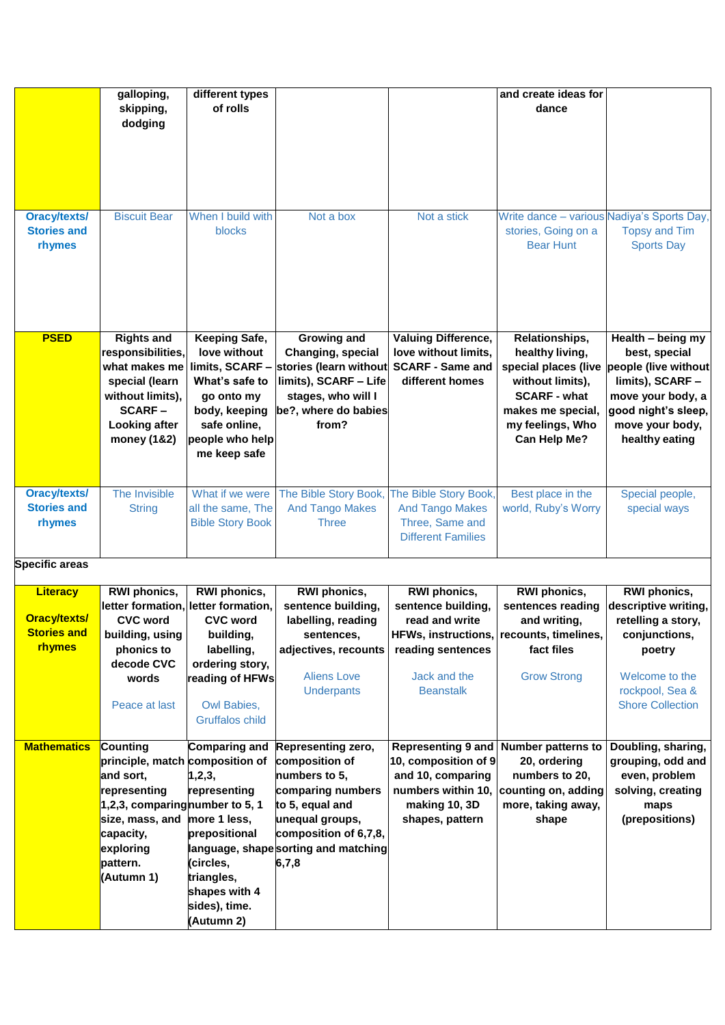|                                                     | galloping,<br>skipping,<br>dodging                                                                                            | different types<br>of rolls                                                                                                       |                                                                                                                                                                          |                                                                                                  | and create ideas for<br>dance                                                                                                                                 |                                                                                                                                                                 |
|-----------------------------------------------------|-------------------------------------------------------------------------------------------------------------------------------|-----------------------------------------------------------------------------------------------------------------------------------|--------------------------------------------------------------------------------------------------------------------------------------------------------------------------|--------------------------------------------------------------------------------------------------|---------------------------------------------------------------------------------------------------------------------------------------------------------------|-----------------------------------------------------------------------------------------------------------------------------------------------------------------|
| Oracy/texts/<br><b>Stories and</b><br><b>rhymes</b> | <b>Biscuit Bear</b>                                                                                                           | When I build with<br><b>blocks</b>                                                                                                | Not a box                                                                                                                                                                | Not a stick                                                                                      | Write dance - various Nadiya's Sports Day,<br>stories, Going on a<br><b>Bear Hunt</b>                                                                         | <b>Topsy and Tim</b><br><b>Sports Day</b>                                                                                                                       |
| <b>PSED</b>                                         | <b>Rights and</b><br>responsibilities,<br>special (learn<br>without limits),<br><b>SCARF-</b><br>Looking after<br>money (1&2) | Keeping Safe,<br>love without<br>What's safe to<br>go onto my<br>body, keeping<br>safe online,<br>people who help<br>me keep safe | Growing and<br>Changing, special<br>what makes me limits, SCARF - stories (learn without<br>limits), SCARF - Life<br>stages, who will I<br>be?, where do babies<br>from? | <b>Valuing Difference,</b><br>love without limits,<br><b>SCARF - Same and</b><br>different homes | Relationships,<br>healthy living,<br>special places (live<br>without limits),<br><b>SCARF - what</b><br>makes me special,<br>my feelings, Who<br>Can Help Me? | Health - being my<br>best, special<br>people (live without<br>limits), SCARF -<br>move your body, a<br>good night's sleep,<br>move your body,<br>healthy eating |
| <b>Oracy/texts/</b><br><b>Stories and</b><br>rhymes | The Invisible<br><b>String</b>                                                                                                | What if we were<br>all the same, The<br><b>Bible Story Book</b>                                                                   | The Bible Story Book,<br><b>And Tango Makes</b><br><b>Three</b>                                                                                                          | The Bible Story Book,<br><b>And Tango Makes</b><br>Three, Same and<br><b>Different Families</b>  | Best place in the<br>world, Ruby's Worry                                                                                                                      | Special people,<br>special ways                                                                                                                                 |

**Specific areas**

| <b>Specific areas</b>                  |                                 |                                                                               |                                                          |                                                      |                                                          |                                                            |
|----------------------------------------|---------------------------------|-------------------------------------------------------------------------------|----------------------------------------------------------|------------------------------------------------------|----------------------------------------------------------|------------------------------------------------------------|
| <b>Literacy</b><br><b>Oracy/texts/</b> | RWI phonics,<br><b>CVC word</b> | <b>RWI</b> phonics,<br>letter formation, letter formation,<br><b>CVC word</b> | RWI phonics,<br>sentence building,<br>labelling, reading | RWI phonics,<br>sentence building,<br>read and write | <b>RWI</b> phonics,<br>sentences reading<br>and writing, | RWI phonics,<br>descriptive writing,<br>retelling a story, |
| <b>Stories and</b><br><b>rhymes</b>    | building, using<br>phonics to   | building,<br>labelling,                                                       | sentences.<br>adjectives, recounts                       | reading sentences                                    | HFWs, instructions, recounts, timelines,<br>fact files   | conjunctions,<br>poetry                                    |
|                                        | decode CVC                      | ordering story,                                                               |                                                          |                                                      |                                                          |                                                            |
|                                        | words                           | reading of HFWs                                                               | <b>Aliens Love</b>                                       | Jack and the                                         | <b>Grow Strong</b>                                       | Welcome to the                                             |
|                                        |                                 |                                                                               | <b>Underpants</b>                                        | <b>Beanstalk</b>                                     |                                                          | rockpool, Sea &                                            |
|                                        | Peace at last                   | Owl Babies,                                                                   |                                                          |                                                      |                                                          | <b>Shore Collection</b>                                    |
|                                        |                                 | <b>Gruffalos child</b>                                                        |                                                          |                                                      |                                                          |                                                            |
| <b>Mathematics</b>                     | Counting                        | <b>Comparing and</b>                                                          | Representing zero,                                       | Representing 9 and                                   | <b>Number patterns to</b>                                | Doubling, sharing,                                         |
|                                        | principle, match composition of |                                                                               | composition of                                           | 10, composition of 9                                 | 20, ordering                                             | grouping, odd and                                          |
|                                        | and sort,                       | 1,2,3,                                                                        | numbers to 5,                                            | and 10, comparing                                    | numbers to 20,                                           | even, problem                                              |
|                                        | representing                    | representing                                                                  | comparing numbers                                        |                                                      | numbers within 10, counting on, adding                   | solving, creating                                          |
|                                        | 1,2,3, comparing number to 5, 1 |                                                                               | to 5, equal and                                          | making 10, 3D                                        | more, taking away,                                       | maps                                                       |
|                                        | size, mass, and                 | more 1 less,                                                                  | unequal groups,                                          | shapes, pattern                                      | shape                                                    | (prepositions)                                             |
|                                        | capacity,                       | prepositional                                                                 | composition of 6,7,8,                                    |                                                      |                                                          |                                                            |
|                                        | exploring                       |                                                                               | language, shape sorting and matching                     |                                                      |                                                          |                                                            |
|                                        | pattern.                        | (circles,                                                                     | 6,7,8                                                    |                                                      |                                                          |                                                            |
|                                        | (Autumn 1)                      | triangles,                                                                    |                                                          |                                                      |                                                          |                                                            |
|                                        |                                 | shapes with 4                                                                 |                                                          |                                                      |                                                          |                                                            |
|                                        |                                 | sides), time.                                                                 |                                                          |                                                      |                                                          |                                                            |
|                                        |                                 | (Autumn 2)                                                                    |                                                          |                                                      |                                                          |                                                            |